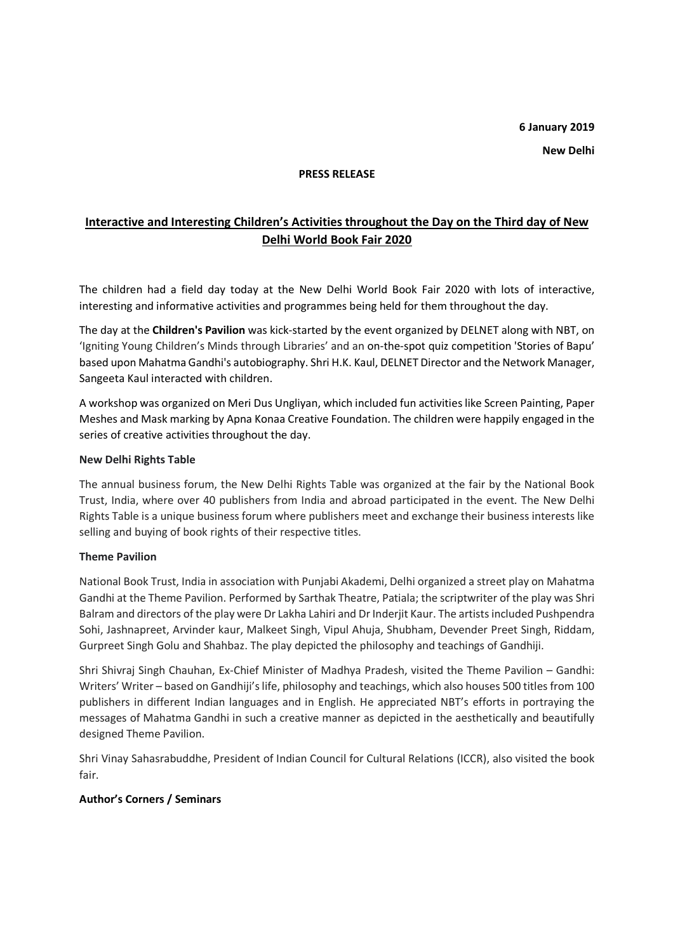## **PRESS RELEASE**

# **Interactive and Interesting Children's Activities throughout the Day on the Third day of New Delhi World Book Fair 2020**

The children had a field day today at the New Delhi World Book Fair 2020 with lots of interactive, interesting and informative activities and programmes being held for them throughout the day.

The day at the **Children's Pavilion** was kick-started by the event organized by DELNET along with NBT, on 'Igniting Young Children's Minds through Libraries' and an on-the-spot quiz competition 'Stories of Bapu' based upon Mahatma Gandhi's autobiography. Shri H.K. Kaul, DELNET Director and the Network Manager, Sangeeta Kaul interacted with children.

A workshop was organized on Meri Dus Ungliyan, which included fun activities like Screen Painting, Paper Meshes and Mask marking by Apna Konaa Creative Foundation. The children were happily engaged in the series of creative activities throughout the day.

## **New Delhi Rights Table**

The annual business forum, the New Delhi Rights Table was organized at the fair by the National Book Trust, India, where over 40 publishers from India and abroad participated in the event. The New Delhi Rights Table is a unique business forum where publishers meet and exchange their business interests like selling and buying of book rights of their respective titles.

#### **Theme Pavilion**

National Book Trust, India in association with Punjabi Akademi, Delhi organized a street play on Mahatma Gandhi at the Theme Pavilion. Performed by Sarthak Theatre, Patiala; the scriptwriter of the play was Shri Balram and directors of the play were Dr Lakha Lahiri and Dr Inderjit Kaur. The artists included Pushpendra Sohi, Jashnapreet, Arvinder kaur, Malkeet Singh, Vipul Ahuja, Shubham, Devender Preet Singh, Riddam, Gurpreet Singh Golu and Shahbaz. The play depicted the philosophy and teachings of Gandhiji.

Shri Shivraj Singh Chauhan, Ex-Chief Minister of Madhya Pradesh, visited the Theme Pavilion – Gandhi: Writers' Writer – based on Gandhiji's life, philosophy and teachings, which also houses 500 titles from 100 publishers in different Indian languages and in English. He appreciated NBT's efforts in portraying the messages of Mahatma Gandhi in such a creative manner as depicted in the aesthetically and beautifully designed Theme Pavilion.

Shri Vinay Sahasrabuddhe, President of Indian Council for Cultural Relations (ICCR), also visited the book fair.

# **Author's Corners / Seminars**